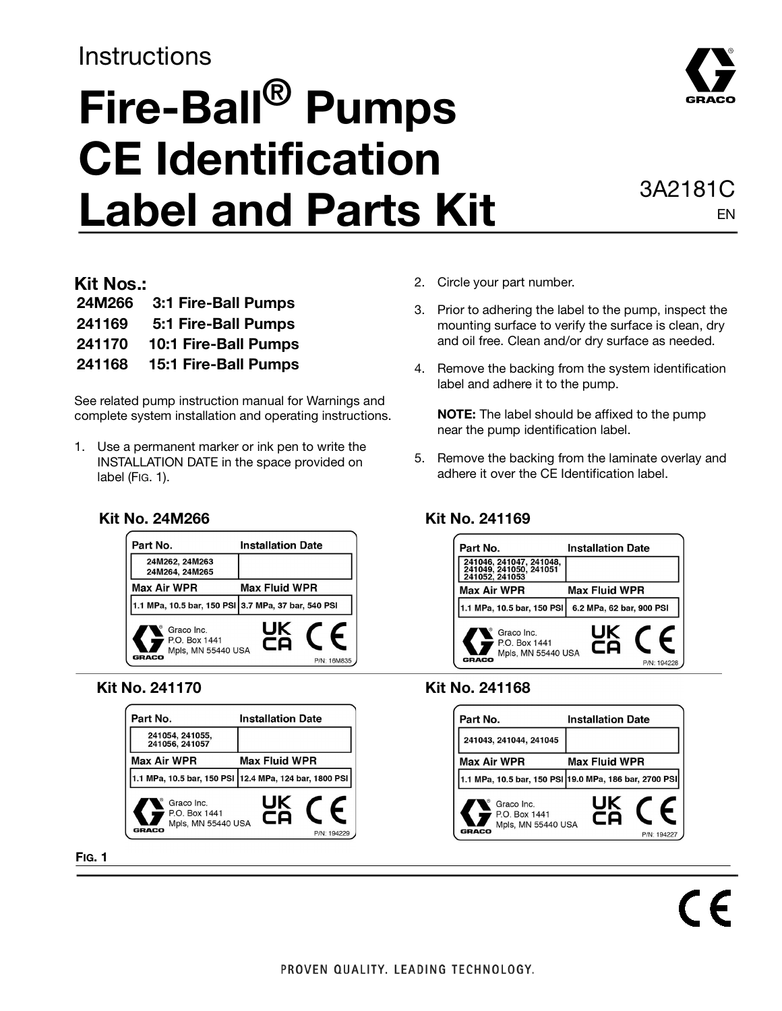# **Instructions**

# **Fire-Ball® Pumps CE Identification**  Label and Parts Kit **3A2181C**

# EN

#### **Kit Nos.:**

| 24M266 | 3:1 Fire-Ball Pumps         |
|--------|-----------------------------|
| 241169 | 5:1 Fire-Ball Pumps         |
| 241170 | <b>10:1 Fire-Ball Pumps</b> |
| 241168 | <b>15:1 Fire-Ball Pumps</b> |

See related pump instruction manual for Warnings and complete system installation and operating instructions.

1. Use a permanent marker or ink pen to write the INSTALLATION DATE in the space provided on label (FIG. 1).

#### Part No. **Installation Date** 24M262, 24M263 24M264, 24M265 **Max Air WPR Max Fluid WPR** 1.1 MPa, 10.5 bar, 150 PSI 3.7 MPa, 37 bar, 540 PSI JK Graco Inc. P.O. Box 1441 CQ Mpls, MN 55440 USA GRACO

| Part No.                                                          | <b>Installation Date</b>                                |
|-------------------------------------------------------------------|---------------------------------------------------------|
| 241054, 241055,<br>241056, 241057                                 |                                                         |
| <b>Max Air WPR</b>                                                | <b>Max Fluid WPR</b>                                    |
|                                                                   | 1.1 MPa, 10.5 bar, 150 PSI  12.4 MPa, 124 bar, 1800 PSI |
| Graco Inc.<br>P.O. Box 1441<br>Mpls, MN 55440 USA<br><b>GRACO</b> | UK<br>со<br>P/N: 194229                                 |

**FIG. 1**

- 2. Circle your part number.
- 3. Prior to adhering the label to the pump, inspect the mounting surface to verify the surface is clean, dry and oil free. Clean and/or dry surface as needed.
- 4. Remove the backing from the system identification label and adhere it to the pump.

**NOTE:** The label should be affixed to the pump near the pump identification label.

5. Remove the backing from the laminate overlay and adhere it over the CE Identification label.

#### **Kit No. 24M266 Kit No. 241169**



#### **Kit No. 241170 Kit No. 241168**

| Part No.                                                   | <b>Installation Date</b>                               |
|------------------------------------------------------------|--------------------------------------------------------|
| 241043, 241044, 241045                                     |                                                        |
| Max Air WPR                                                | <b>Max Fluid WPR</b>                                   |
|                                                            | 1.1 MPa, 10.5 bar, 150 PSI 19.0 MPa, 186 bar, 2700 PSI |
| Graco Inc.<br>P.O. Box 1441<br>Mpls, MN 55440 USA<br>GRACO | UK<br>co<br>P/N: 194227                                |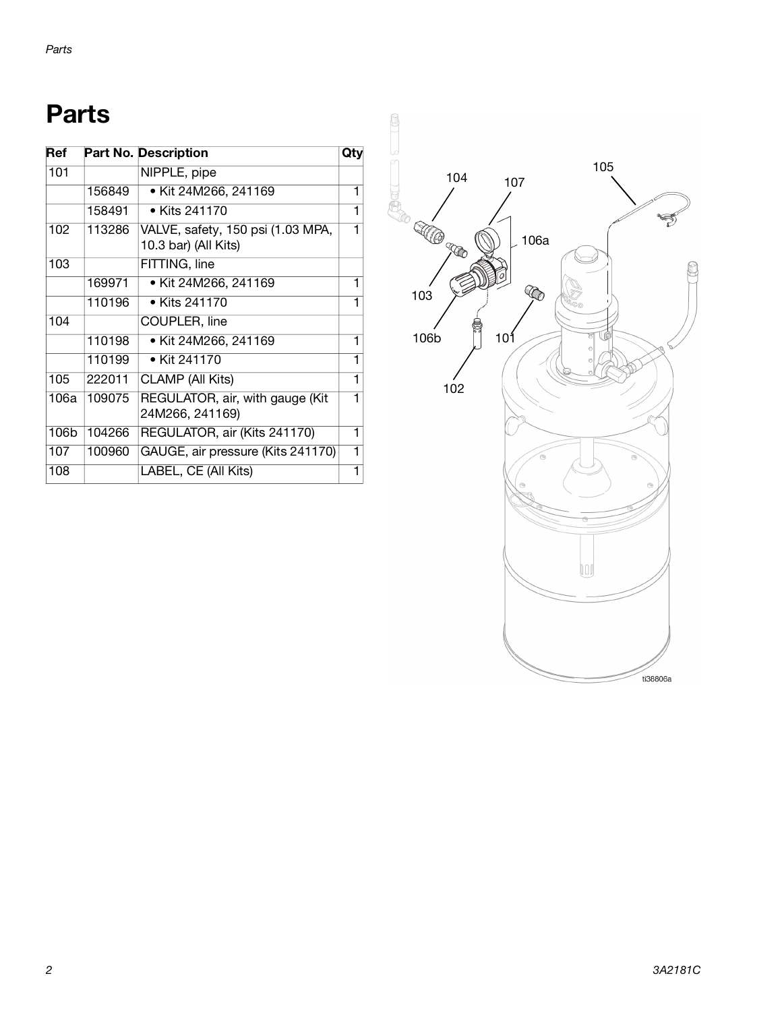# **Parts**

| Ref  |        | <b>Part No. Description</b>                               | Qtv |
|------|--------|-----------------------------------------------------------|-----|
| 101  |        | NIPPLE, pipe                                              |     |
|      | 156849 | • Kit 24M266, 241169                                      | 1   |
|      | 158491 | • Kits 241170                                             |     |
| 102  | 113286 | VALVE, safety, 150 psi (1.03 MPA,<br>10.3 bar) (All Kits) |     |
| 103  |        | FITTING, line                                             |     |
|      | 169971 | • Kit 24M266, 241169                                      |     |
|      | 110196 | • Kits 241170                                             |     |
| 104  |        | COUPLER, line                                             |     |
|      | 110198 | • Kit 24M266, 241169                                      | 1   |
|      | 110199 | • Kit 241170                                              | 1   |
| 105  | 222011 | <b>CLAMP</b> (All Kits)                                   | 1   |
| 106a | 109075 | REGULATOR, air, with gauge (Kit<br>24M266, 241169)        |     |
| 106b | 104266 | REGULATOR, air (Kits 241170)                              | 1   |
| 107  | 100960 | GAUGE, air pressure (Kits 241170)                         | 1   |
| 108  |        | LABEL, CE (All Kits)                                      |     |

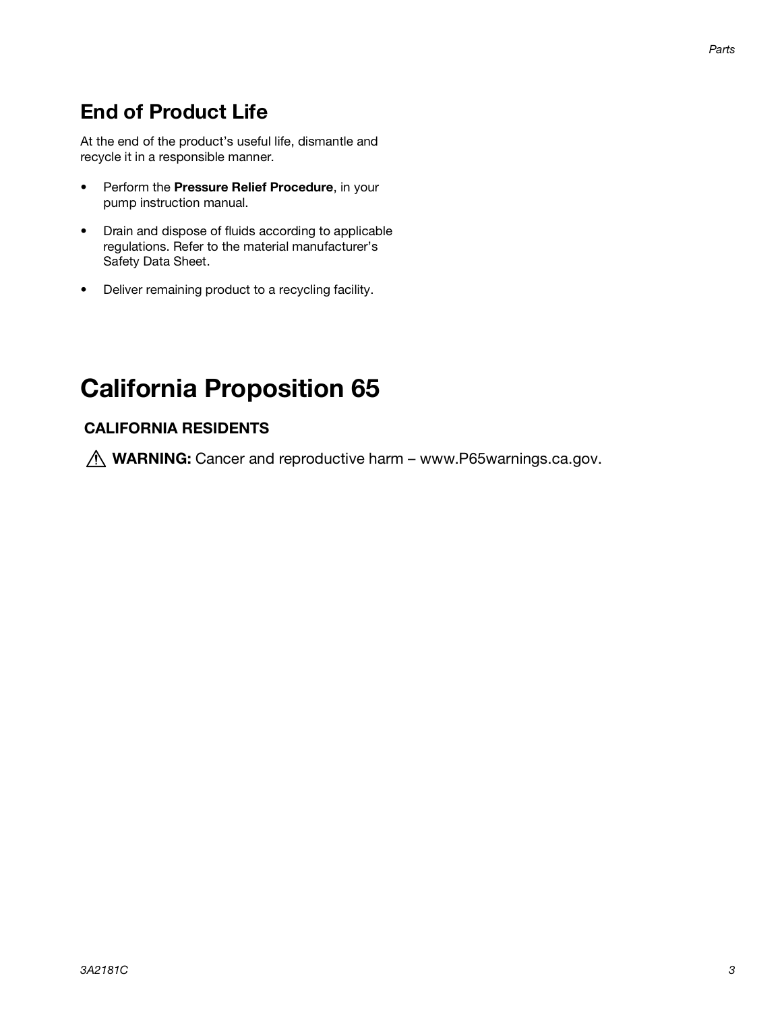### **End of Product Life**

At the end of the product's useful life, dismantle and recycle it in a responsible manner.

- Perform the **Pressure Relief Procedure**, in your pump instruction manual.
- Drain and dispose of fluids according to applicable regulations. Refer to the material manufacturer's Safety Data Sheet.
- Deliver remaining product to a recycling facility.

### **California Proposition 65**

#### **CALIFORNIA RESIDENTS**

*A* WARNING: Cancer and reproductive harm – www.P65warnings.ca.gov.